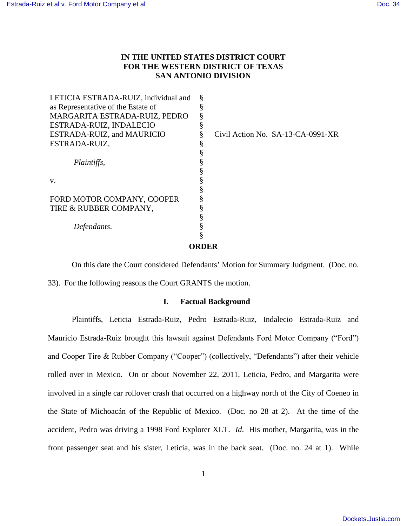# **IN THE UNITED STATES DISTRICT COURT FOR THE WESTERN DISTRICT OF TEXAS SAN ANTONIO DIVISION**

| LETICIA ESTRADA-RUIZ, individual and | Š |                                   |
|--------------------------------------|---|-----------------------------------|
| as Representative of the Estate of   |   |                                   |
| MARGARITA ESTRADA-RUIZ, PEDRO        |   |                                   |
| ESTRADA-RUIZ, INDALECIO              |   |                                   |
| ESTRADA-RUIZ, and MAURICIO           |   | Civil Action No. SA-13-CA-0991-XR |
| ESTRADA-RUIZ,                        |   |                                   |
|                                      |   |                                   |
| Plaintiffs,                          |   |                                   |
|                                      |   |                                   |
| V.                                   |   |                                   |
|                                      |   |                                   |
| FORD MOTOR COMPANY, COOPER           |   |                                   |
| TIRE & RUBBER COMPANY,               |   |                                   |
|                                      |   |                                   |
| Defendants.                          |   |                                   |
|                                      |   |                                   |
|                                      |   |                                   |
|                                      |   |                                   |

On this date the Court considered Defendants' Motion for Summary Judgment. (Doc. no. 33). For the following reasons the Court GRANTS the motion.

## **I. Factual Background**

Plaintiffs, Leticia Estrada-Ruiz, Pedro Estrada-Ruiz, Indalecio Estrada-Ruiz and Mauricio Estrada-Ruiz brought this lawsuit against Defendants Ford Motor Company ("Ford") and Cooper Tire & Rubber Company ("Cooper") (collectively, "Defendants") after their vehicle rolled over in Mexico. On or about November 22, 2011, Leticia, Pedro, and Margarita were involved in a single car rollover crash that occurred on a highway north of the City of Coeneo in the State of Michoacán of the Republic of Mexico. (Doc. no 28 at 2). At the time of the accident, Pedro was driving a 1998 Ford Explorer XLT. *Id*. His mother, Margarita, was in the front passenger seat and his sister, Leticia, was in the back seat. (Doc. no. 24 at 1). While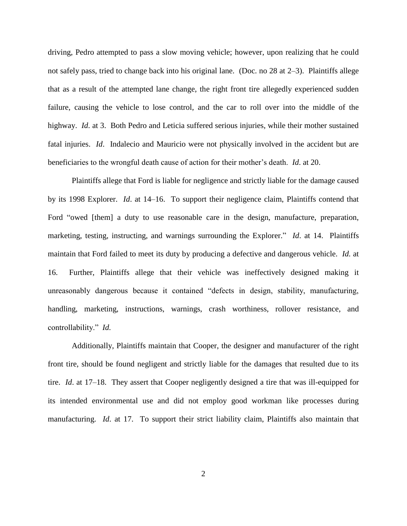driving, Pedro attempted to pass a slow moving vehicle; however, upon realizing that he could not safely pass, tried to change back into his original lane. (Doc. no 28 at 2–3). Plaintiffs allege that as a result of the attempted lane change, the right front tire allegedly experienced sudden failure, causing the vehicle to lose control, and the car to roll over into the middle of the highway. *Id*. at 3. Both Pedro and Leticia suffered serious injuries, while their mother sustained fatal injuries. *Id*. Indalecio and Mauricio were not physically involved in the accident but are beneficiaries to the wrongful death cause of action for their mother's death. *Id*. at 20.

Plaintiffs allege that Ford is liable for negligence and strictly liable for the damage caused by its 1998 Explorer. *Id*. at 14–16. To support their negligence claim, Plaintiffs contend that Ford "owed [them] a duty to use reasonable care in the design, manufacture, preparation, marketing, testing, instructing, and warnings surrounding the Explorer." *Id*. at 14. Plaintiffs maintain that Ford failed to meet its duty by producing a defective and dangerous vehicle. *Id.* at 16. Further, Plaintiffs allege that their vehicle was ineffectively designed making it unreasonably dangerous because it contained "defects in design, stability, manufacturing, handling, marketing, instructions, warnings, crash worthiness, rollover resistance, and controllability." *Id.*

Additionally, Plaintiffs maintain that Cooper, the designer and manufacturer of the right front tire, should be found negligent and strictly liable for the damages that resulted due to its tire. *Id*. at 17–18. They assert that Cooper negligently designed a tire that was ill-equipped for its intended environmental use and did not employ good workman like processes during manufacturing. *Id*. at 17. To support their strict liability claim, Plaintiffs also maintain that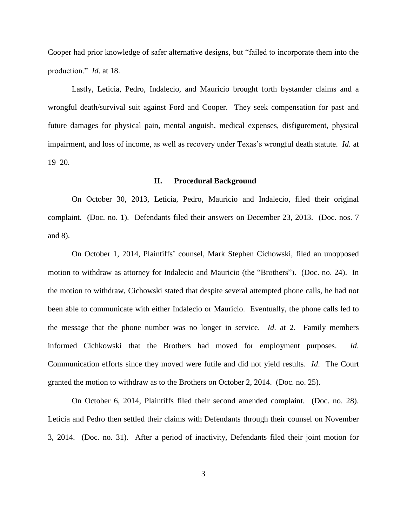Cooper had prior knowledge of safer alternative designs, but "failed to incorporate them into the production." *Id*. at 18.

Lastly, Leticia, Pedro, Indalecio, and Mauricio brought forth bystander claims and a wrongful death/survival suit against Ford and Cooper. They seek compensation for past and future damages for physical pain, mental anguish, medical expenses, disfigurement, physical impairment, and loss of income, as well as recovery under Texas's wrongful death statute. *Id.* at 19–20.

### **II. Procedural Background**

On October 30, 2013, Leticia, Pedro, Mauricio and Indalecio, filed their original complaint. (Doc. no. 1). Defendants filed their answers on December 23, 2013. (Doc. nos. 7 and 8).

On October 1, 2014, Plaintiffs' counsel, Mark Stephen Cichowski, filed an unopposed motion to withdraw as attorney for Indalecio and Mauricio (the "Brothers"). (Doc. no. 24). In the motion to withdraw, Cichowski stated that despite several attempted phone calls, he had not been able to communicate with either Indalecio or Mauricio. Eventually, the phone calls led to the message that the phone number was no longer in service. *Id*. at 2. Family members informed Cichkowski that the Brothers had moved for employment purposes. *Id*. Communication efforts since they moved were futile and did not yield results. *Id*. The Court granted the motion to withdraw as to the Brothers on October 2, 2014. (Doc. no. 25).

On October 6, 2014, Plaintiffs filed their second amended complaint. (Doc. no. 28). Leticia and Pedro then settled their claims with Defendants through their counsel on November 3, 2014. (Doc. no. 31). After a period of inactivity, Defendants filed their joint motion for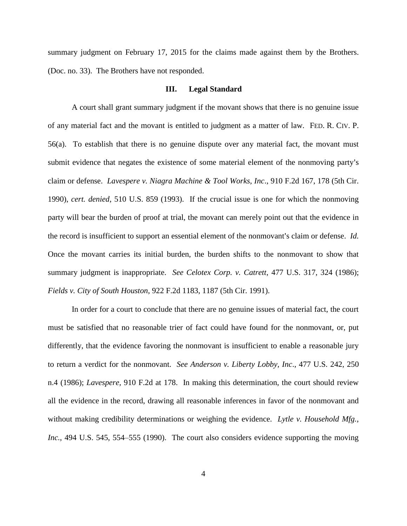summary judgment on February 17, 2015 for the claims made against them by the Brothers. (Doc. no. 33). The Brothers have not responded.

#### **III. Legal Standard**

A court shall grant summary judgment if the movant shows that there is no genuine issue of any material fact and the movant is entitled to judgment as a matter of law. FED. R. CIV. P. 56(a). To establish that there is no genuine dispute over any material fact, the movant must submit evidence that negates the existence of some material element of the nonmoving party's claim or defense. *Lavespere v. Niagra Machine & Tool Works, Inc*., 910 F.2d 167, 178 (5th Cir. 1990), *cert. denied*, 510 U.S. 859 (1993). If the crucial issue is one for which the nonmoving party will bear the burden of proof at trial, the movant can merely point out that the evidence in the record is insufficient to support an essential element of the nonmovant's claim or defense. *Id.* Once the movant carries its initial burden, the burden shifts to the nonmovant to show that summary judgment is inappropriate. *See Celotex Corp. v. Catrett*, 477 U.S. 317, 324 (1986); *Fields v. City of South Houston*, 922 F.2d 1183, 1187 (5th Cir. 1991).

In order for a court to conclude that there are no genuine issues of material fact, the court must be satisfied that no reasonable trier of fact could have found for the nonmovant, or, put differently, that the evidence favoring the nonmovant is insufficient to enable a reasonable jury to return a verdict for the nonmovant. *See Anderson v. Liberty Lobby, Inc*., 477 U.S. 242, 250 n.4 (1986); *Lavespere,* 910 F.2d at 178. In making this determination, the court should review all the evidence in the record, drawing all reasonable inferences in favor of the nonmovant and without making credibility determinations or weighing the evidence. *Lytle v. Household Mfg., Inc.*, 494 U.S. 545, 554–555 (1990). The court also considers evidence supporting the moving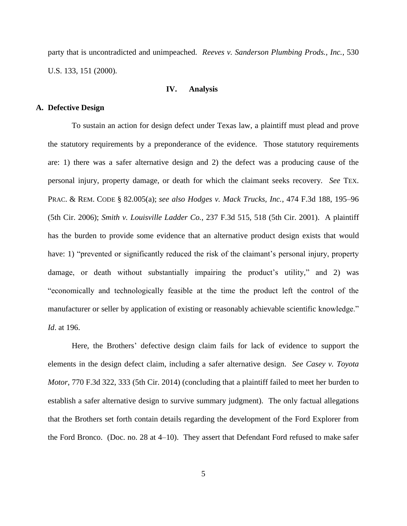party that is uncontradicted and unimpeached. *Reeves v. Sanderson Plumbing Prods., Inc.*, 530 U.S. 133, 151 (2000).

### **IV. Analysis**

### **A. Defective Design**

To sustain an action for design defect under Texas law, a plaintiff must plead and prove the statutory requirements by a preponderance of the evidence. Those statutory requirements are: 1) there was a safer alternative design and 2) the defect was a producing cause of the personal injury, property damage, or death for which the claimant seeks recovery. *See* TEX. PRAC. & REM. CODE § 82.005(a); *see also Hodges v. Mack Trucks, Inc.*, 474 F.3d 188, 195–96 (5th Cir. 2006); *Smith v. Louisville Ladder Co.*, 237 F.3d 515, 518 (5th Cir. 2001). A plaintiff has the burden to provide some evidence that an alternative product design exists that would have: 1) "prevented or significantly reduced the risk of the claimant's personal injury, property damage, or death without substantially impairing the product's utility," and 2) was "economically and technologically feasible at the time the product left the control of the manufacturer or seller by application of existing or reasonably achievable scientific knowledge." *Id*. at 196.

Here, the Brothers' defective design claim fails for lack of evidence to support the elements in the design defect claim, including a safer alternative design. *See Casey v. Toyota Motor*, 770 F.3d 322, 333 (5th Cir. 2014) (concluding that a plaintiff failed to meet her burden to establish a safer alternative design to survive summary judgment). The only factual allegations that the Brothers set forth contain details regarding the development of the Ford Explorer from the Ford Bronco. (Doc. no. 28 at 4–10). They assert that Defendant Ford refused to make safer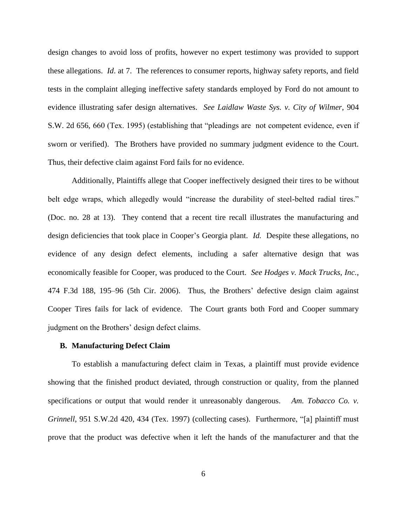design changes to avoid loss of profits, however no expert testimony was provided to support these allegations. *Id*. at 7. The references to consumer reports, highway safety reports, and field tests in the complaint alleging ineffective safety standards employed by Ford do not amount to evidence illustrating safer design alternatives. *See Laidlaw Waste Sys. v. City of Wilmer*, 904 S.W. 2d 656, 660 (Tex. 1995) (establishing that "pleadings are not competent evidence, even if sworn or verified). The Brothers have provided no summary judgment evidence to the Court. Thus, their defective claim against Ford fails for no evidence.

Additionally, Plaintiffs allege that Cooper ineffectively designed their tires to be without belt edge wraps, which allegedly would "increase the durability of steel-belted radial tires." (Doc. no. 28 at 13). They contend that a recent tire recall illustrates the manufacturing and design deficiencies that took place in Cooper's Georgia plant. *Id.* Despite these allegations, no evidence of any design defect elements, including a safer alternative design that was economically feasible for Cooper, was produced to the Court. *See Hodges v. Mack Trucks, Inc.*, 474 F.3d 188, 195–96 (5th Cir. 2006). Thus, the Brothers' defective design claim against Cooper Tires fails for lack of evidence. The Court grants both Ford and Cooper summary judgment on the Brothers' design defect claims.

#### **B. Manufacturing Defect Claim**

To establish a manufacturing defect claim in Texas, a plaintiff must provide evidence showing that the finished product deviated, through construction or quality, from the planned specifications or output that would render it unreasonably dangerous. *Am. Tobacco Co. v. Grinnell*, 951 S.W.2d 420, 434 (Tex. 1997) (collecting cases). Furthermore, "[a] plaintiff must prove that the product was defective when it left the hands of the manufacturer and that the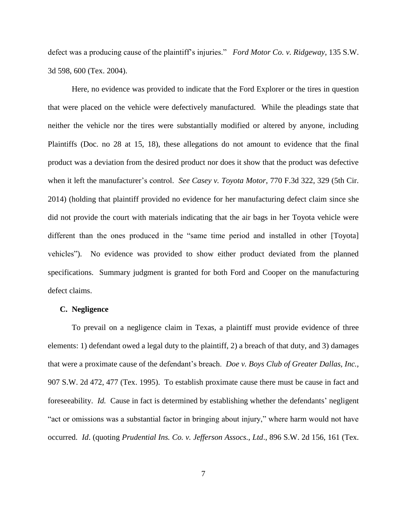defect was a producing cause of the plaintiff's injuries." *Ford Motor Co. v. Ridgeway*, 135 S.W. 3d 598, 600 (Tex. 2004).

Here, no evidence was provided to indicate that the Ford Explorer or the tires in question that were placed on the vehicle were defectively manufactured. While the pleadings state that neither the vehicle nor the tires were substantially modified or altered by anyone, including Plaintiffs (Doc. no 28 at 15, 18), these allegations do not amount to evidence that the final product was a deviation from the desired product nor does it show that the product was defective when it left the manufacturer's control. *See Casey v. Toyota Motor*, 770 F.3d 322, 329 (5th Cir. 2014) (holding that plaintiff provided no evidence for her manufacturing defect claim since she did not provide the court with materials indicating that the air bags in her Toyota vehicle were different than the ones produced in the "same time period and installed in other [Toyota] vehicles"). No evidence was provided to show either product deviated from the planned specifications. Summary judgment is granted for both Ford and Cooper on the manufacturing defect claims.

### **C. Negligence**

To prevail on a negligence claim in Texas, a plaintiff must provide evidence of three elements: 1) defendant owed a legal duty to the plaintiff, 2) a breach of that duty, and 3) damages that were a proximate cause of the defendant's breach. *Doe v. Boys Club of Greater Dallas, Inc.,*  907 S.W. 2d 472, 477 (Tex. 1995). To establish proximate cause there must be cause in fact and foreseeability. *Id.* Cause in fact is determined by establishing whether the defendants' negligent "act or omissions was a substantial factor in bringing about injury," where harm would not have occurred. *Id*. (quoting *Prudential Ins. Co. v. Jefferson Assocs., Ltd*., 896 S.W. 2d 156, 161 (Tex.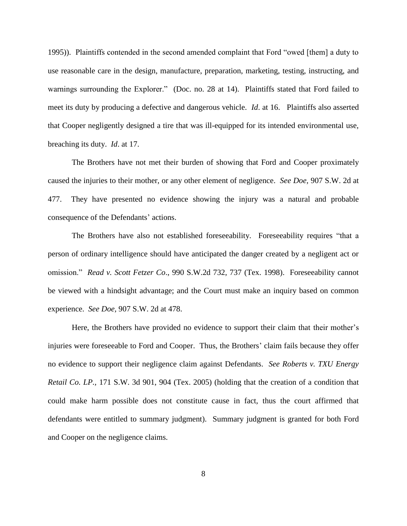1995)). Plaintiffs contended in the second amended complaint that Ford "owed [them] a duty to use reasonable care in the design, manufacture, preparation, marketing, testing, instructing, and warnings surrounding the Explorer." (Doc. no. 28 at 14). Plaintiffs stated that Ford failed to meet its duty by producing a defective and dangerous vehicle. *Id*. at 16. Plaintiffs also asserted that Cooper negligently designed a tire that was ill-equipped for its intended environmental use, breaching its duty. *Id*. at 17.

The Brothers have not met their burden of showing that Ford and Cooper proximately caused the injuries to their mother, or any other element of negligence. *See Doe,* 907 S.W. 2d at 477. They have presented no evidence showing the injury was a natural and probable consequence of the Defendants' actions.

The Brothers have also not established foreseeability. Foreseeability requires "that a person of ordinary intelligence should have anticipated the danger created by a negligent act or omission." *Read v. Scott Fetzer Co*., 990 S.W.2d 732, 737 (Tex. 1998). Foreseeability cannot be viewed with a hindsight advantage; and the Court must make an inquiry based on common experience. *See Doe,* 907 S.W. 2d at 478.

Here, the Brothers have provided no evidence to support their claim that their mother's injuries were foreseeable to Ford and Cooper. Thus, the Brothers' claim fails because they offer no evidence to support their negligence claim against Defendants. *See Roberts v. TXU Energy Retail Co. LP.,* 171 S.W. 3d 901, 904 (Tex. 2005) (holding that the creation of a condition that could make harm possible does not constitute cause in fact, thus the court affirmed that defendants were entitled to summary judgment). Summary judgment is granted for both Ford and Cooper on the negligence claims.